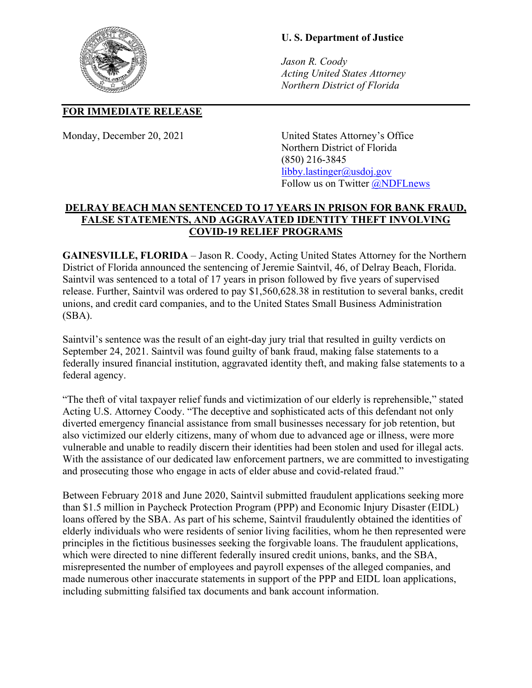## **U. S. Department of Justice**

*Jason R. Coody Acting United States Attorney Northern District of Florida*

## **FOR IMMEDIATE RELEASE**

Monday, December 20, 2021 United States Attorney's Office Northern District of Florida (850) 216-3845 [libby.lastinger@usdoj.gov](mailto:USAFLN.Press.Office@usdoj.gov) Follow us on Twitter **@NDFLnews** 

## **DELRAY BEACH MAN SENTENCED TO 17 YEARS IN PRISON FOR BANK FRAUD, FALSE STATEMENTS, AND AGGRAVATED IDENTITY THEFT INVOLVING COVID-19 RELIEF PROGRAMS**

**GAINESVILLE, FLORIDA** – Jason R. Coody, Acting United States Attorney for the Northern District of Florida announced the sentencing of Jeremie Saintvil, 46, of Delray Beach, Florida. Saintvil was sentenced to a total of 17 years in prison followed by five years of supervised release. Further, Saintvil was ordered to pay \$1,560,628.38 in restitution to several banks, credit unions, and credit card companies, and to the United States Small Business Administration (SBA).

Saintvil's sentence was the result of an eight-day jury trial that resulted in guilty verdicts on September 24, 2021. Saintvil was found guilty of bank fraud, making false statements to a federally insured financial institution, aggravated identity theft, and making false statements to a federal agency.

"The theft of vital taxpayer relief funds and victimization of our elderly is reprehensible," stated Acting U.S. Attorney Coody. "The deceptive and sophisticated acts of this defendant not only diverted emergency financial assistance from small businesses necessary for job retention, but also victimized our elderly citizens, many of whom due to advanced age or illness, were more vulnerable and unable to readily discern their identities had been stolen and used for illegal acts. With the assistance of our dedicated law enforcement partners, we are committed to investigating and prosecuting those who engage in acts of elder abuse and covid-related fraud."

Between February 2018 and June 2020, Saintvil submitted fraudulent applications seeking more than \$1.5 million in Paycheck Protection Program (PPP) and Economic Injury Disaster (EIDL) loans offered by the SBA. As part of his scheme, Saintvil fraudulently obtained the identities of elderly individuals who were residents of senior living facilities, whom he then represented were principles in the fictitious businesses seeking the forgivable loans. The fraudulent applications, which were directed to nine different federally insured credit unions, banks, and the SBA, misrepresented the number of employees and payroll expenses of the alleged companies, and made numerous other inaccurate statements in support of the PPP and EIDL loan applications, including submitting falsified tax documents and bank account information.

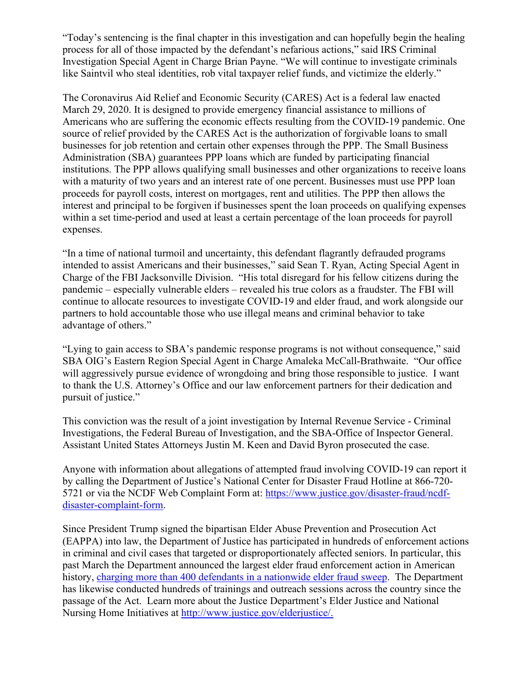"Today's sentencing is the final chapter in this investigation and can hopefully begin the healing process for all of those impacted by the defendant's nefarious actions," said IRS Criminal Investigation Special Agent in Charge Brian Payne. "We will continue to investigate criminals like Saintvil who steal identities, rob vital taxpayer relief funds, and victimize the elderly."

The Coronavirus Aid Relief and Economic Security (CARES) Act is a federal law enacted March 29, 2020. It is designed to provide emergency financial assistance to millions of Americans who are suffering the economic effects resulting from the COVID-19 pandemic. One source of relief provided by the CARES Act is the authorization of forgivable loans to small businesses for job retention and certain other expenses through the PPP. The Small Business Administration (SBA) guarantees PPP loans which are funded by participating financial institutions. The PPP allows qualifying small businesses and other organizations to receive loans with a maturity of two years and an interest rate of one percent. Businesses must use PPP loan proceeds for payroll costs, interest on mortgages, rent and utilities. The PPP then allows the interest and principal to be forgiven if businesses spent the loan proceeds on qualifying expenses within a set time-period and used at least a certain percentage of the loan proceeds for payroll expenses.

"In a time of national turmoil and uncertainty, this defendant flagrantly defrauded programs intended to assist Americans and their businesses," said Sean T. Ryan, Acting Special Agent in Charge of the FBI Jacksonville Division. "His total disregard for his fellow citizens during the pandemic – especially vulnerable elders – revealed his true colors as a fraudster. The FBI will continue to allocate resources to investigate COVID-19 and elder fraud, and work alongside our partners to hold accountable those who use illegal means and criminal behavior to take advantage of others."

"Lying to gain access to SBA's pandemic response programs is not without consequence," said SBA OIG's Eastern Region Special Agent in Charge Amaleka McCall-Brathwaite. "Our office will aggressively pursue evidence of wrongdoing and bring those responsible to justice. I want to thank the U.S. Attorney's Office and our law enforcement partners for their dedication and pursuit of justice."

This conviction was the result of a joint investigation by Internal Revenue Service - Criminal Investigations, the Federal Bureau of Investigation, and the SBA-Office of Inspector General. Assistant United States Attorneys Justin M. Keen and David Byron prosecuted the case.

Anyone with information about allegations of attempted fraud involving COVID-19 can report it by calling the Department of Justice's National Center for Disaster Fraud Hotline at 866-720- 5721 or via the NCDF Web Complaint Form at: [https://www.justice.gov/disaster-fraud/ncdf](https://www.justice.gov/disaster-fraud/ncdf-disaster-complaint-form)[disaster-complaint-form.](https://www.justice.gov/disaster-fraud/ncdf-disaster-complaint-form)

Since President Trump signed the bipartisan Elder Abuse Prevention and Prosecution Act (EAPPA) into law, the Department of Justice has participated in hundreds of enforcement actions in criminal and civil cases that targeted or disproportionately affected seniors. In particular, this past March the Department announced the largest elder fraud enforcement action in American history, [charging more than 400 defendants in a nationwide elder fraud sweep.](https://www.justice.gov/opa/pr/department-justice-charges-unprecedented-number-elder-fraud-defendants-nationwide-and) The Department has likewise conducted hundreds of trainings and outreach sessions across the country since the passage of the Act. Learn more about the Justice Department's Elder Justice and National Nursing Home Initiatives at [http://www.justice.gov/elderjustice/.](https://www.justice.gov/elderjustice/)